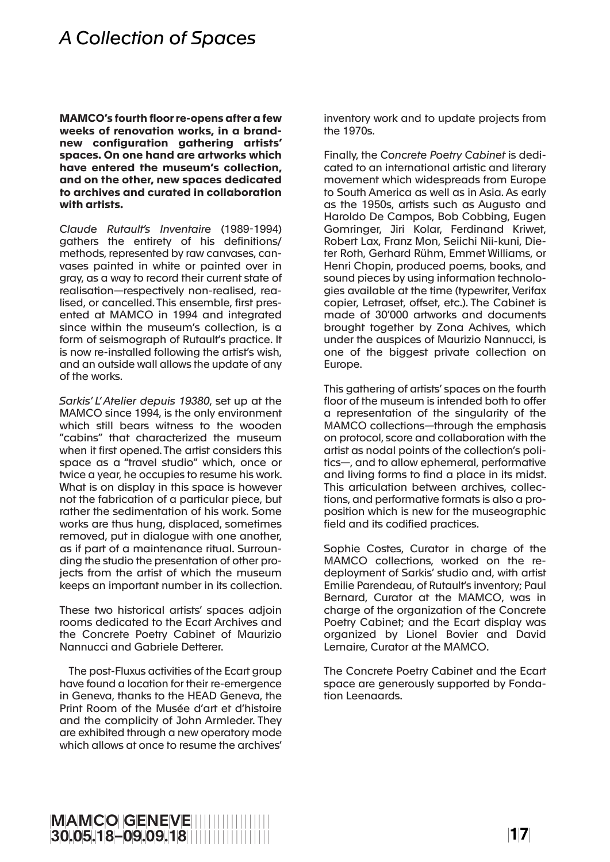## *A Collection of Spaces*

**MAMCO's fourth floor re-opens after a few weeks of renovation works, in a brandnew configuration gathering artists' spaces. On one hand are artworks which have entered the museum's collection, and on the other, new spaces dedicated to archives and curated in collaboration with artists.**

*Claude Rutault's Inventaire* (1989-1994) gathers the entirety of his definitions/ methods, represented by raw canvases, canvases painted in white or painted over in gray, as a way to record their current state of realisation—respectively non-realised, realised, or cancelled. This ensemble, first presented at MAMCO in 1994 and integrated since within the museum's collection, is a form of seismograph of Rutault's practice. It is now re-installed following the artist's wish, and an outside wall allows the update of any of the works.

*Sarkis' L' Atelier depuis 19380*, set up at the MAMCO since 1994, is the only environment which still bears witness to the wooden "cabins" that characterized the museum when it first opened. The artist considers this space as a "travel studio" which, once or twice a year, he occupies to resume his work. What is on display in this space is however not the fabrication of a particular piece, but rather the sedimentation of his work. Some works are thus hung, displaced, sometimes removed, put in dialogue with one another, as if part of a maintenance ritual. Surrounding the studio the presentation of other projects from the artist of which the museum keeps an important number in its collection.

These two historical artists' spaces adjoin rooms dedicated to the Ecart Archives and the Concrete Poetry Cabinet of Maurizio Nannucci and Gabriele Detterer.

The post-Fluxus activities of the Ecart group have found a location for their re-emergence in Geneva, thanks to the HEAD Geneva, the Print Room of the Musée d'art et d'histoire and the complicity of John Armleder. They are exhibited through a new operatory mode which allows at once to resume the archives'

inventory work and to update projects from the 1970s.

Finally, the *Concrete Poetry Cabinet* is dedicated to an international artistic and literary movement which widespreads from Europe to South America as well as in Asia. As early as the 1950s, artists such as Augusto and Haroldo De Campos, Bob Cobbing, Eugen Gomringer, Jiri Kolar, Ferdinand Kriwet, Robert Lax, Franz Mon, Seiichi Nii-kuni, Dieter Roth, Gerhard Rühm, Emmet Williams, or Henri Chopin, produced poems, books, and sound pieces by using information technologies available at the time (typewriter, Verifax copier, Letraset, offset, etc.). The Cabinet is made of 30'000 artworks and documents brought together by Zona Achives, which under the auspices of Maurizio Nannucci, is one of the biggest private collection on Europe.

This gathering of artists' spaces on the fourth floor of the museum is intended both to offer a representation of the singularity of the MAMCO collections—through the emphasis on protocol, score and collaboration with the artist as nodal points of the collection's politics—, and to allow ephemeral, performative and living forms to find a place in its midst. This articulation between archives, collections, and performative formats is also a proposition which is new for the museographic field and its codified practices.

Sophie Costes, Curator in charge of the MAMCO collections, worked on the redeployment of Sarkis' studio and, with artist Emilie Parendeau, of Rutault's inventory; Paul Bernard, Curator at the MAMCO, was in charge of the organization of the Concrete Poetry Cabinet; and the Ecart display was organized by Lionel Bovier and David Lemaire, Curator at the MAMCO.

The Concrete Poetry Cabinet and the Ecart space are generously supported by Fondation Leenaards.

## <sup>∣</sup>1∣7" <sup>∣</sup>M∣A∣M∣C∣O"∣G∣E∣N∣E∣V∣E"""""""""""""""""" 3∣ 0∣ .∣ 0∣ 5∣ .∣ 1∣ 8∣ –∣ 0∣ 9∣ .∣ 0∣ 9∣ .∣ 1∣ 8∣ """""""""""""""""""